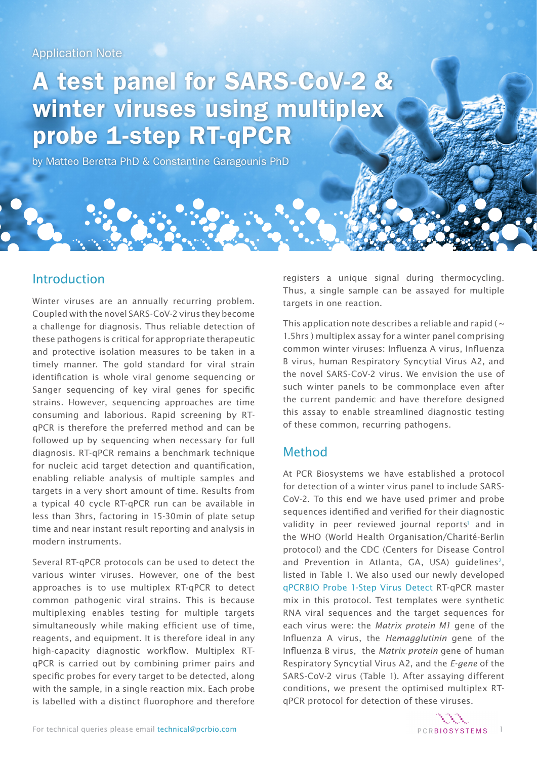# Application Note

# A test panel for SARS-CoV-2 & winter viruses using multiplex probe 1-step RT-qPCR

by Matteo Beretta PhD & Constantine Garagounis PhD

# Introduction

Winter viruses are an annually recurring problem. Coupled with the novel SARS-CoV-2 virus they become a challenge for diagnosis. Thus reliable detection of these pathogens is critical for appropriate therapeutic and protective isolation measures to be taken in a timely manner. The gold standard for viral strain identification is whole viral genome sequencing or Sanger sequencing of key viral genes for specific strains. However, sequencing approaches are time consuming and laborious. Rapid screening by RTqPCR is therefore the preferred method and can be followed up by sequencing when necessary for full diagnosis. RT-qPCR remains a benchmark technique for nucleic acid target detection and quantification, enabling reliable analysis of multiple samples and targets in a very short amount of time. Results from a typical 40 cycle RT-qPCR run can be available in less than 3hrs, factoring in 15-30min of plate setup time and near instant result reporting and analysis in modern instruments.

Several RT-qPCR protocols can be used to detect the various winter viruses. However, one of the best approaches is to use multiplex RT-qPCR to detect common pathogenic viral strains. This is because multiplexing enables testing for multiple targets simultaneously while making efficient use of time, reagents, and equipment. It is therefore ideal in any high-capacity diagnostic workflow. Multiplex RTqPCR is carried out by combining primer pairs and specific probes for every target to be detected, along with the sample, in a single reaction mix. Each probe is labelled with a distinct fluorophore and therefore

registers a unique signal during thermocycling. Thus, a single sample can be assayed for multiple targets in one reaction.

This application note describes a reliable and rapid ( $\sim$ 1.5hrs ) multiplex assay for a winter panel comprising common winter viruses: Influenza A virus, Influenza B virus, human Respiratory Syncytial Virus A2, and the novel SARS-CoV-2 virus. We envision the use of such winter panels to be commonplace even after the current pandemic and have therefore designed this assay to enable streamlined diagnostic testing of these common, recurring pathogens.

# Method

At PCR Biosystems we have established a protocol for detection of a winter virus panel to include SARS-CoV-2. To this end we have used primer and probe sequences identified and verified for their diagnostic validity in peer reviewed journal reports<sup>1</sup> and in the WHO (World Health Organisation/Charité-Berlin protocol) and the CDC (Centers for Disease Control and Prevention in Atlanta, GA, USA) quidelines<sup>[2](https://www.who.int/docs/default-source/coronaviruse/protocol-v2-1.pdf)</sup>, listed in Table 1. We also used our newly developed [qPCRBIO Probe 1-Step Virus Detect](https://pcrbio.com/products/qpcr/qpcrbio-probe-1-step-virus-detect/) RT-qPCR master mix in this protocol. Test templates were synthetic RNA viral sequences and the target sequences for each virus were: the *Matrix protein M1* gene of the Influenza A virus, the *Hemagglutinin* gene of the Influenza B virus, the *Matrix protein* gene of human Respiratory Syncytial Virus A2, and the *E-gene* of the SARS-CoV-2 virus (Table 1). After assaying different conditions, we present the optimised multiplex RTqPCR protocol for detection of these viruses.

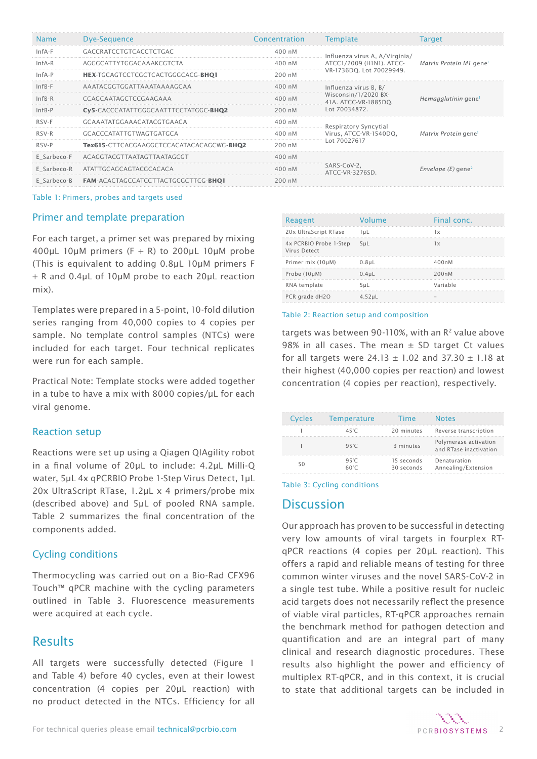| <b>Name</b> | Dye-Sequence                               | Concentration    | Template                                     | Target                           |  |
|-------------|--------------------------------------------|------------------|----------------------------------------------|----------------------------------|--|
| $InfA-F$    | <b>GACCRATCCTGTCACCTCTGAC</b>              | 400 nM           | Influenza virus A, A/Virginia/               |                                  |  |
| $InfA-R$    | AGGGCATTYTGGACAAAKCGTCTA                   | 400 nM           | ATCC1/2009 (H1N1). ATCC-                     | Matrix Protein M1 genel          |  |
| $InfA-P$    | <b>HEX-TGCAGTCCTCGCTCACTGGGCACG-BHO1</b>   | 200 nM           | VR-1736DO. Lot 70029949.                     |                                  |  |
| $InfB-F$    | AAATACGGTGGATTAAATAAAAGCAA                 | $400 \text{ nM}$ | Influenza virus B, B/                        |                                  |  |
| $InfB-R$    | CCAGCAATAGCTCCGAAGAAA                      | $400 \;$ nM      | Wisconsin/1/2020 BX-<br>41A. ATCC-VR-1885DO. | Hemagglutinin gene               |  |
| $InfB-P$    | Cy5-CACCCATATTGGGCAATTTCCTATGGC-BHQ2       | 200 nM           | Lot 70034872.                                |                                  |  |
| RSV-F       | GCAAATATGGAAACATACGTGAACA                  | 400 nM           | Respiratory Syncytial                        | Matrix Protein gene              |  |
| RSV-R       | GCACCCATATTGTWAGTGATGCA                    | $400 \;$ nM      | Virus, ATCC-VR-1540DQ,                       |                                  |  |
| RSV-P       | Tex615-CTTCACGAAGGCTCCACATACACAGCWG-BHO2   | 200 nM           | Lot 70027617                                 |                                  |  |
|             | E Sarbeco-F ACAGGTACGTTAATAGTTAATAGCGT     | $400 \text{ nM}$ |                                              | Envelope $(E)$ gene <sup>2</sup> |  |
|             | E Sarbeco-R ATATTGCAGCAGTACGCACACA         | 400 nM           | SARS-CoV-2,<br>ATCC-VR-3276SD                |                                  |  |
| E Sarbeco-B | <b>FAM-ACACTAGCCATCCTTACTGCGCTTCG-BHOI</b> | 200 nM           |                                              |                                  |  |

#### Table 1: Primers, probes and targets used

## Primer and template preparation

For each target, a primer set was prepared by mixing 400μL 10μM primers  $(F + R)$  to 200μL 10μM probe (This is equivalent to adding 0.8μL 10μM primers F + R and 0.4μL of 10μM probe to each 20μL reaction mix).

Templates were prepared in a 5-point, 10-fold dilution series ranging from 40,000 copies to 4 copies per sample. No template control samples (NTCs) were included for each target. Four technical replicates were run for each sample.

Practical Note: Template stocks were added together in a tube to have a mix with 8000 copies/μL for each viral genome.

## Reaction setup

Reactions were set up using a Qiagen QIAgility robot in a final volume of 20μL to include: 4.2μL Milli-Q water, 5μL 4x qPCRBIO Probe 1-Step Virus Detect, 1μL 20x UltraScript RTase, 1.2μL x 4 primers/probe mix (described above) and 5μL of pooled RNA sample. Table 2 summarizes the final concentration of the components added.

## Cycling conditions

Thermocycling was carried out on a Bio-Rad CFX96 Touch™ qPCR machine with the cycling parameters outlined in Table 3. Fluorescence measurements were acquired at each cycle.

# Results

All targets were successfully detected (Figure 1 and Table 4) before 40 cycles, even at their lowest concentration (4 copies per 20μL reaction) with no product detected in the NTCs. Efficiency for all

| Reagent                                | Volume    | Final conc. |
|----------------------------------------|-----------|-------------|
| 20x UltraScript RTase                  | luL       | 1x          |
| 4x PCRBIO Probe 1-Step<br>Virus Detect | 5uL       | 1x          |
| Primer mix (10µM)                      | $0.8$ uL  | 400nM       |
| Probe (10µM)                           | $0.4$ uL  | 200nM       |
| RNA template                           | 5uL       | Variable    |
| PCR grade dH2O                         | $4.52$ uL |             |

#### Table 2: Reaction setup and composition

targets was between 90-110%, with an  $R<sup>2</sup>$  value above 98% in all cases. The mean  $\pm$  SD target Ct values for all targets were 24.13  $\pm$  1.02 and 37.30  $\pm$  1.18 at their highest (40,000 copies per reaction) and lowest concentration (4 copies per reaction), respectively.

| Cycles | Temperature          | <b>Time</b>              | <b>Notes</b>                                    |
|--------|----------------------|--------------------------|-------------------------------------------------|
|        | 45°C                 |                          | 20 minutes Reverse transcription                |
|        | $95^\circ C$         | 3 minutes                | Polymerase activation<br>and RTase inactivation |
| 50     | $95^\circ C$<br>60°C | 15 seconds<br>30 seconds | Denaturation<br>Annealing/Extension             |

### Table 3: Cycling conditions

# **Discussion**

Our approach has proven to be successful in detecting very low amounts of viral targets in fourplex RTqPCR reactions (4 copies per 20μL reaction). This offers a rapid and reliable means of testing for three common winter viruses and the novel SARS-CoV-2 in a single test tube. While a positive result for nucleic acid targets does not necessarily reflect the presence of viable viral particles, RT-qPCR approaches remain the benchmark method for pathogen detection and quantification and are an integral part of many clinical and research diagnostic procedures. These results also highlight the power and efficiency of multiplex RT-qPCR, and in this context, it is crucial to state that additional targets can be included in

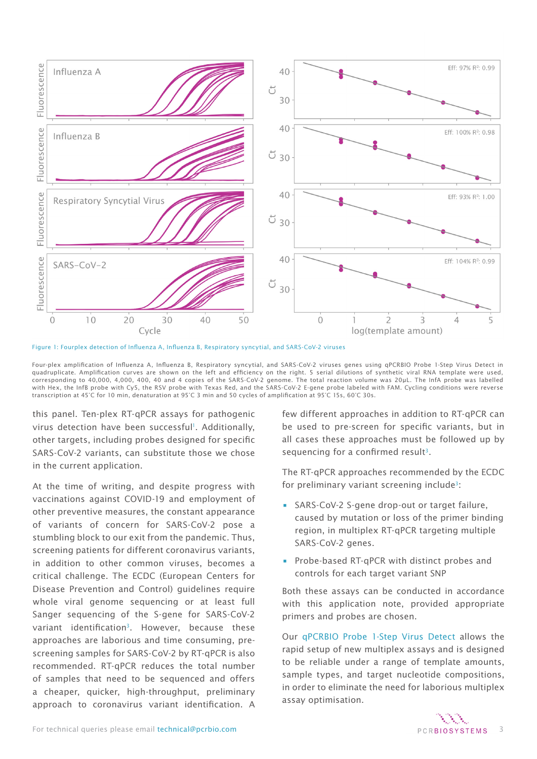

Figure 1: Fourplex detection of Influenza A, Influenza B, Respiratory syncytial, and SARS-CoV-2 viruses

Four-plex amplification of Influenza A, Influenza B, Respiratory syncytial, and SARS-CoV-2 viruses genes using qPCRBIO Probe 1-Step Virus Detect in quadruplicate. Amplification curves are shown on the left and efficiency on the right. 5 serial dilutions of synthetic viral RNA template were used, corresponding to 40,000, 4,000, 400, 40 and 4 copies of the SARS-CoV-2 genome. The total reaction volume was 20µL. The InfA probe was labelled with Hex, the InfB probe with Cy5, the RSV probe with Texas Red, and the SARS-CoV-2 E-gene probe labeled with FAM. Cycling conditions were reverse transcription at 45°C for 10 min, denaturation at 95°C 3 min and 50 cycles of amplification at 95°C 15s, 60°C 30s.

this panel. Ten-plex RT-qPCR assays for pathogenic virus detection have been successful<sup>1</sup>. Additionally, other targets, including probes designed for specific SARS-CoV-2 variants, can substitute those we chose in the current application.

At the time of writing, and despite progress with vaccinations against COVID-19 and employment of other preventive measures, the constant appearance of variants of concern for SARS-CoV-2 pose a stumbling block to our exit from the pandemic. Thus, screening patients for different coronavirus variants, in addition to other common viruses, becomes a critical challenge. The ECDC (European Centers for Disease Prevention and Control) guidelines require whole viral genome sequencing or at least full Sanger sequencing of the S-gene for SARS-CoV-2 variant identificatio[n3.](https://www.ecdc.europa.eu/en/publications-data/methods-detection-and-identification-sars-cov-2-variants) However, because these approaches are laborious and time consuming, prescreening samples for SARS-CoV-2 by RT-qPCR is also recommended. RT-qPCR reduces the total number of samples that need to be sequenced and offers a cheaper, quicker, high-throughput, preliminary approach to coronavirus variant identification. A

few different approaches in addition to RT-qPCR can be used to pre-screen for specific variants, but in all cases these approaches must be followed up by sequencing for a confirmed result<sup>[3](https://www.ecdc.europa.eu/en/publications-data/methods-detection-and-identification-sars-cov-2-variants)</sup>.

The RT-qPCR approaches recommended by the ECDC for preliminary variant screening include<sup>3</sup>:

- SARS-CoV-2 S-gene drop-out or target failure, caused by mutation or loss of the primer binding region, in multiplex RT-qPCR targeting multiple SARS-CoV-2 genes.
- Probe-based RT-qPCR with distinct probes and controls for each target variant SNP

Both these assays can be conducted in accordance with this application note, provided appropriate primers and probes are chosen.

Our [qPCRBIO Probe 1-Step Virus Detect](https://pcrbio.com/products/qpcr/qpcrbio-probe-1-step-virus-detect/) allows the rapid setup of new multiplex assays and is designed to be reliable under a range of template amounts, sample types, and target nucleotide compositions, in order to eliminate the need for laborious multiplex assay optimisation.